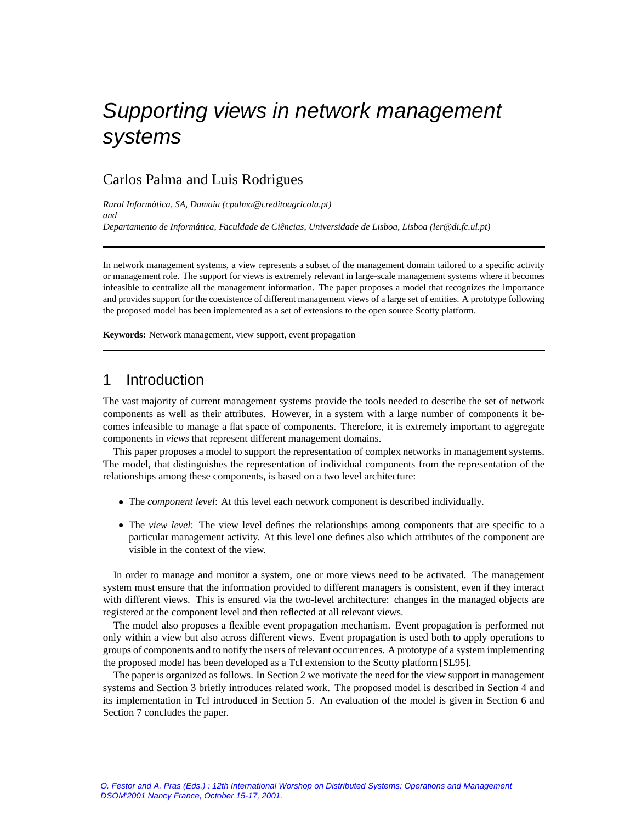# Supporting views in network management systems

## Carlos Palma and Luis Rodrigues

*Rural Informatica, ´ SA, Damaia (cpalma@creditoagricola.pt) and Departamento de Informatica, ´ Faculdade de Ciencias, ˆ Universidade de Lisboa, Lisboa (ler@di.fc.ul.pt)*

In network management systems, a view represents a subset of the management domain tailored to a specific activity or management role. The support for views is extremely relevant in large-scale management systems where it becomes infeasible to centralize all the management information. The paper proposes a model that recognizes the importance and provides support for the coexistence of different management views of a large set of entities. A prototype following the proposed model has been implemented as a set of extensions to the open source Scotty platform.

**Keywords:** Network management, view support, event propagation

# 1 Introduction

The vast majority of current management systems provide the tools needed to describe the set of network components as well as their attributes. However, in a system with a large number of components it becomes infeasible to manage a flat space of components. Therefore, it is extremely important to aggregate components in *views* that represent different management domains.

This paper proposes a model to support the representation of complex networks in management systems. The model, that distinguishes the representation of individual components from the representation of the relationships among these components, is based on a two level architecture:

- The *component level*: At this level each network component is described individually.
- The *view level*: The view level defines the relationships among components that are specific to a particular management activity. At this level one defines also which attributes of the component are visible in the context of the view.

In order to manage and monitor a system, one or more views need to be activated. The management system must ensure that the information provided to different managers is consistent, even if they interact with different views. This is ensured via the two-level architecture: changes in the managed objects are registered at the component level and then reflected at all relevant views.

The model also proposes a flexible event propagation mechanism. Event propagation is performed not only within a view but also across different views. Event propagation is used both to apply operations to groups of components and to notify the users of relevant occurrences. A prototype of a system implementing the proposed model has been developed as a Tcl extension to the Scotty platform [SL95].

The paper is organized as follows. In Section 2 we motivate the need for the view support in management systems and Section 3 briefly introduces related work. The proposed model is described in Section 4 and its implementation in Tcl introduced in Section 5. An evaluation of the model is given in Section 6 and Section 7 concludes the paper.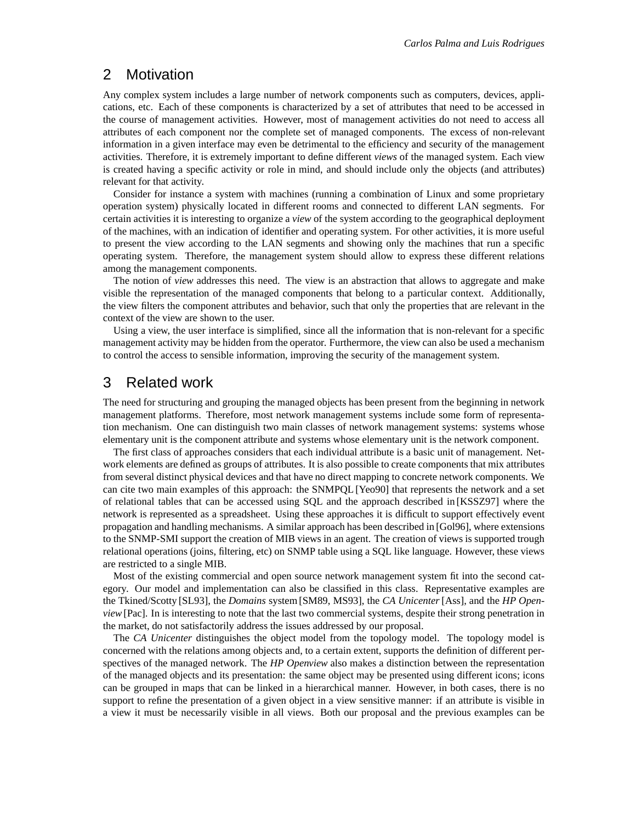## 2 Motivation

Any complex system includes a large number of network components such as computers, devices, applications, etc. Each of these components is characterized by a set of attributes that need to be accessed in the course of management activities. However, most of management activities do not need to access all attributes of each component nor the complete set of managed components. The excess of non-relevant information in a given interface may even be detrimental to the efficiency and security of the management activities. Therefore, it is extremely important to define different *views* of the managed system. Each view is created having a specific activity or role in mind, and should include only the objects (and attributes) relevant for that activity.

Consider for instance a system with machines (running a combination of Linux and some proprietary operation system) physically located in different rooms and connected to different LAN segments. For certain activities it is interesting to organize a *view* of the system according to the geographical deployment of the machines, with an indication of identifier and operating system. For other activities, it is more useful to present the view according to the LAN segments and showing only the machines that run a specific operating system. Therefore, the management system should allow to express these different relations among the management components.

The notion of *view* addresses this need. The view is an abstraction that allows to aggregate and make visible the representation of the managed components that belong to a particular context. Additionally, the view filters the component attributes and behavior, such that only the properties that are relevant in the context of the view are shown to the user.

Using a view, the user interface is simplified, since all the information that is non-relevant for a specific management activity may be hidden from the operator. Furthermore, the view can also be used a mechanism to control the access to sensible information, improving the security of the management system.

## 3 Related work

The need for structuring and grouping the managed objects has been present from the beginning in network management platforms. Therefore, most network management systems include some form of representation mechanism. One can distinguish two main classes of network management systems: systems whose elementary unit is the component attribute and systems whose elementary unit is the network component.

The first class of approaches considers that each individual attribute is a basic unit of management. Network elements are defined as groups of attributes. It is also possible to create components that mix attributes from several distinct physical devices and that have no direct mapping to concrete network components. We can cite two main examples of this approach: the SNMPQL [Yeo90] that represents the network and a set of relational tables that can be accessed using SQL and the approach described in [KSSZ97] where the network is represented as a spreadsheet. Using these approaches it is difficult to support effectively event propagation and handling mechanisms. A similar approach has been described in [Gol96], where extensions to the SNMP-SMI support the creation of MIB views in an agent. The creation of views is supported trough relational operations (joins, filtering, etc) on SNMP table using a SQL like language. However, these views are restricted to a single MIB.

Most of the existing commercial and open source network management system fit into the second category. Our model and implementation can also be classified in this class. Representative examples are the Tkined/Scotty [SL93], the *Domains* system [SM89, MS93], the *CA Unicenter*[Ass], and the *HP Openview* [Pac]. In is interesting to note that the last two commercial systems, despite their strong penetration in the market, do not satisfactorily address the issues addressed by our proposal.

The *CA Unicenter* distinguishes the object model from the topology model. The topology model is concerned with the relations among objects and, to a certain extent, supports the definition of different perspectives of the managed network. The *HP Openview* also makes a distinction between the representation of the managed objects and its presentation: the same object may be presented using different icons; icons can be grouped in maps that can be linked in a hierarchical manner. However, in both cases, there is no support to refine the presentation of a given object in a view sensitive manner: if an attribute is visible in a view it must be necessarily visible in all views. Both our proposal and the previous examples can be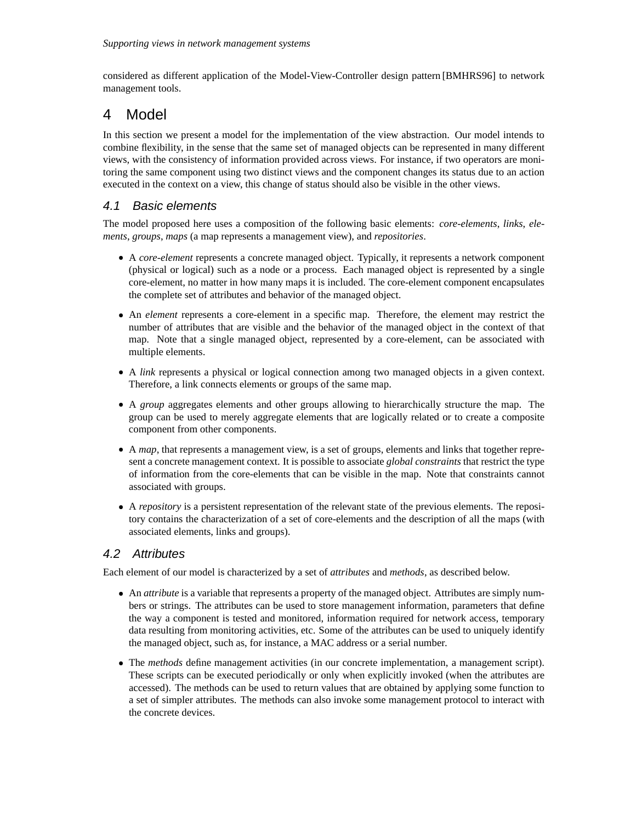considered as different application of the Model-View-Controller design pattern [BMHRS96] to network management tools.

# 4 Model

In this section we present a model for the implementation of the view abstraction. Our model intends to combine flexibility, in the sense that the same set of managed objects can be represented in many different views, with the consistency of information provided across views. For instance, if two operators are monitoring the same component using two distinct views and the component changes its status due to an action executed in the context on a view, this change of status should also be visible in the other views.

#### 4.1 Basic elements

The model proposed here uses a composition of the following basic elements: *core-elements*, *links*, *elements*, *groups*, *maps* (a map represents a management view), and *repositories*.

- A *core-element* represents a concrete managed object. Typically, it represents a network component (physical or logical) such as a node or a process. Each managed object is represented by a single core-element, no matter in how many maps it is included. The core-element component encapsulates the complete set of attributes and behavior of the managed object.
- An *element* represents a core-element in a specific map. Therefore, the element may restrict the number of attributes that are visible and the behavior of the managed object in the context of that map. Note that a single managed object, represented by a core-element, can be associated with multiple elements.
- A *link* represents a physical or logical connection among two managed objects in a given context. Therefore, a link connects elements or groups of the same map.
- A *group* aggregates elements and other groups allowing to hierarchically structure the map. The group can be used to merely aggregate elements that are logically related or to create a composite component from other components.
- A *map*, that represents a management view, is a set of groups, elements and links that together represent a concrete management context. It is possible to associate *global constraints* that restrict the type of information from the core-elements that can be visible in the map. Note that constraints cannot associated with groups.
- A *repository* is a persistent representation of the relevant state of the previous elements. The repository contains the characterization of a set of core-elements and the description of all the maps (with associated elements, links and groups).

#### 4.2 Attributes

Each element of our model is characterized by a set of *attributes* and *methods*, as described below.

- An *attribute* is a variable that represents a property of the managed object. Attributes are simply numbers or strings. The attributes can be used to store management information, parameters that define the way a component is tested and monitored, information required for network access, temporary data resulting from monitoring activities, etc. Some of the attributes can be used to uniquely identify the managed object, such as, for instance, a MAC address or a serial number.
- The *methods* define management activities (in our concrete implementation, a management script). These scripts can be executed periodically or only when explicitly invoked (when the attributes are accessed). The methods can be used to return values that are obtained by applying some function to a set of simpler attributes. The methods can also invoke some management protocol to interact with the concrete devices.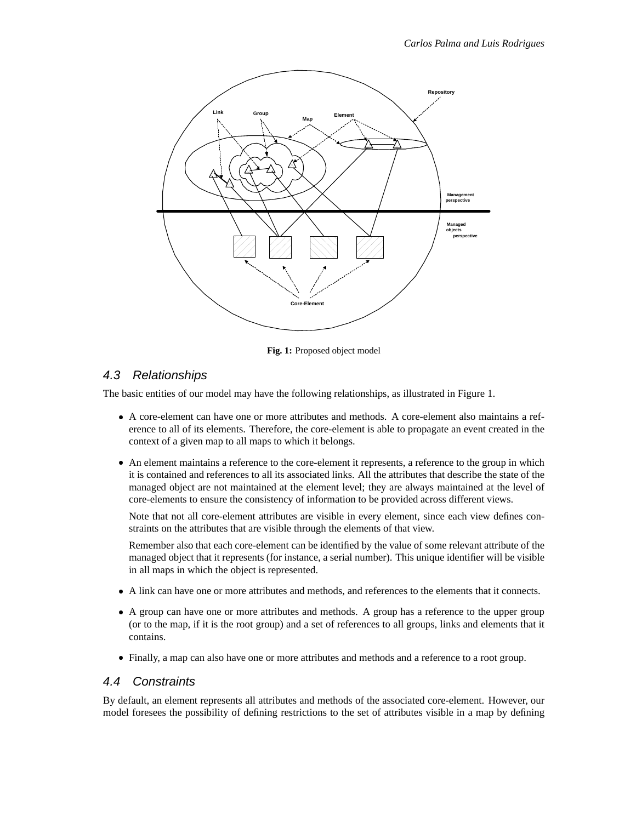

**Fig. 1:** Proposed object model

#### 4.3 Relationships

The basic entities of our model may have the following relationships, as illustrated in Figure 1.

- A core-element can have one or more attributes and methods. A core-element also maintains a reference to all of its elements. Therefore, the core-element is able to propagate an event created in the context of a given map to all maps to which it belongs.
- An element maintains a reference to the core-element it represents, a reference to the group in which it is contained and references to all its associated links. All the attributes that describe the state of the managed object are not maintained at the element level; they are always maintained at the level of core-elements to ensure the consistency of information to be provided across different views.

Note that not all core-element attributes are visible in every element, since each view defines constraints on the attributes that are visible through the elements of that view.

Remember also that each core-element can be identified by the value of some relevant attribute of the managed object that it represents (for instance, a serial number). This unique identifier will be visible in all maps in which the object is represented.

- A link can have one or more attributes and methods, and references to the elements that it connects.
- A group can have one or more attributes and methods. A group has a reference to the upper group (or to the map, if it is the root group) and a set of references to all groups, links and elements that it contains.
- Finally, a map can also have one or more attributes and methods and a reference to a root group.

#### 4.4 Constraints

By default, an element represents all attributes and methods of the associated core-element. However, our model foresees the possibility of defining restrictions to the set of attributes visible in a map by defining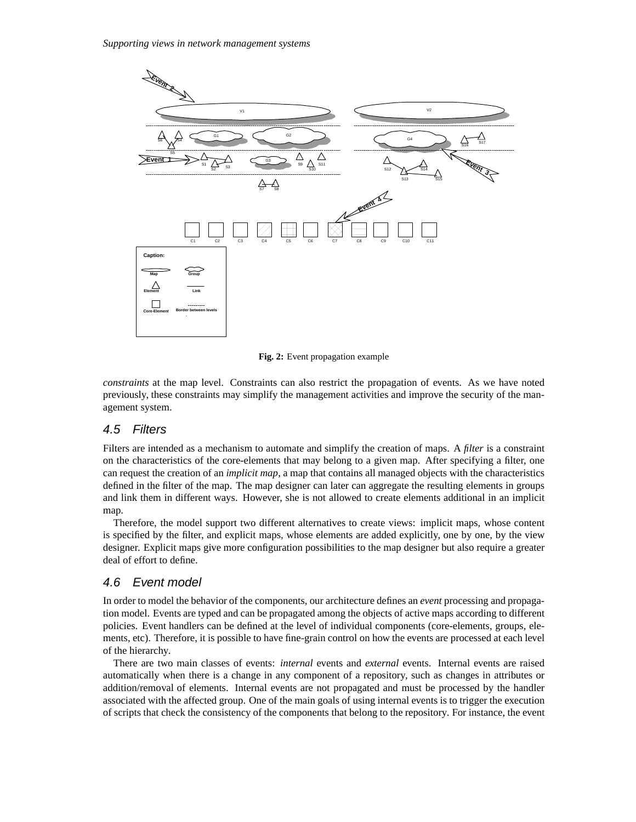

**Fig. 2:** Event propagation example

*constraints* at the map level. Constraints can also restrict the propagation of events. As we have noted previously, these constraints may simplify the management activities and improve the security of the management system.

#### 4.5 Filters

Filters are intended as a mechanism to automate and simplify the creation of maps. A *filter* is a constraint on the characteristics of the core-elements that may belong to a given map. After specifying a filter, one can request the creation of an *implicit map*, a map that contains all managed objects with the characteristics defined in the filter of the map. The map designer can later can aggregate the resulting elements in groups and link them in different ways. However, she is not allowed to create elements additional in an implicit map.

Therefore, the model support two different alternatives to create views: implicit maps, whose content is specified by the filter, and explicit maps, whose elements are added explicitly, one by one, by the view designer. Explicit maps give more configuration possibilities to the map designer but also require a greater deal of effort to define.

#### 4.6 Event model

In order to model the behavior of the components, our architecture defines an *event* processing and propagation model. Events are typed and can be propagated among the objects of active maps according to different policies. Event handlers can be defined at the level of individual components (core-elements, groups, elements, etc). Therefore, it is possible to have fine-grain control on how the events are processed at each level of the hierarchy.

There are two main classes of events: *internal* events and *external* events. Internal events are raised automatically when there is a change in any component of a repository, such as changes in attributes or addition/removal of elements. Internal events are not propagated and must be processed by the handler associated with the affected group. One of the main goals of using internal events is to trigger the execution of scripts that check the consistency of the components that belong to the repository. For instance, the event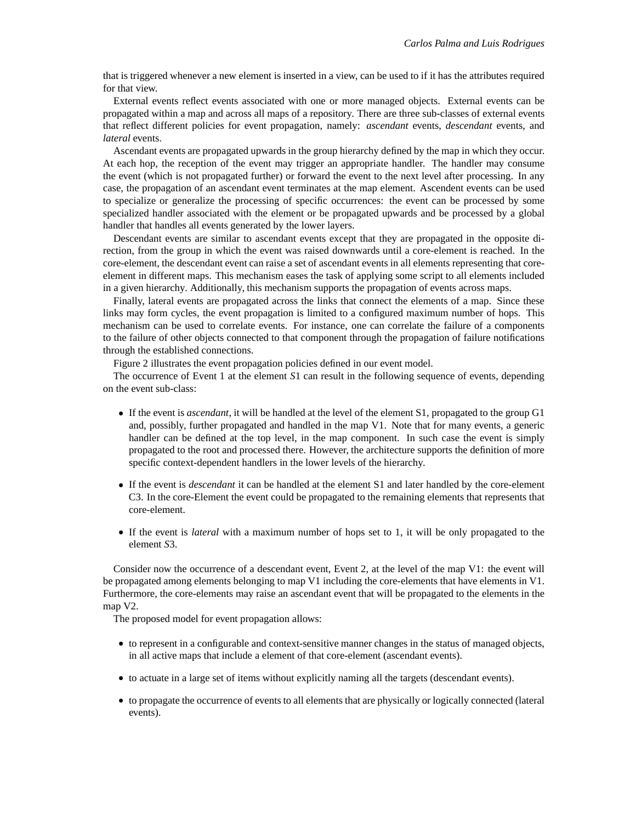that is triggered whenever a new element is inserted in a view, can be used to if it has the attributes required for that view.

External events reflect events associated with one or more managed objects. External events can be propagated within a map and across all maps of a repository. There are three sub-classes of external events that reflect different policies for event propagation, namely: *ascendant* events, *descendant* events, and *lateral* events.

Ascendant events are propagated upwards in the group hierarchy defined by the map in which they occur. At each hop, the reception of the event may trigger an appropriate handler. The handler may consume the event (which is not propagated further) or forward the event to the next level after processing. In any case, the propagation of an ascendant event terminates at the map element. Ascendent events can be used to specialize or generalize the processing of specific occurrences: the event can be processed by some specialized handler associated with the element or be propagated upwards and be processed by a global handler that handles all events generated by the lower layers.

Descendant events are similar to ascendant events except that they are propagated in the opposite direction, from the group in which the event was raised downwards until a core-element is reached. In the core-element, the descendant event can raise a set of ascendant events in all elements representing that coreelement in different maps. This mechanism eases the task of applying some script to all elements included in a given hierarchy. Additionally, this mechanism supports the propagation of events across maps.

Finally, lateral events are propagated across the links that connect the elements of a map. Since these links may form cycles, the event propagation is limited to a configured maximum number of hops. This mechanism can be used to correlate events. For instance, one can correlate the failure of a components to the failure of other objects connected to that component through the propagation of failure notifications through the established connections.

Figure 2 illustrates the event propagation policies defined in our event model.

The occurrence of Event 1 at the element *S*1 can result in the following sequence of events, depending on the event sub-class:

- If the event is *ascendant*, it will be handled at the level of the element S1, propagated to the group G1 and, possibly, further propagated and handled in the map V1. Note that for many events, a generic handler can be defined at the top level, in the map component. In such case the event is simply propagated to the root and processed there. However, the architecture supports the definition of more specific context-dependent handlers in the lower levels of the hierarchy.
- If the event is *descendant* it can be handled at the element S1 and later handled by the core-element C3. In the core-Element the event could be propagated to the remaining elements that represents that core-element.
- If the event is *lateral* with a maximum number of hops set to 1, it will be only propagated to the element *S*3.

Consider now the occurrence of a descendant event, Event 2, at the level of the map V1: the event will be propagated among elements belonging to map V1 including the core-elements that have elements in V1. Furthermore, the core-elements may raise an ascendant event that will be propagated to the elements in the map V2.

The proposed model for event propagation allows:

- to represent in a configurable and context-sensitive manner changes in the status of managed objects, in all active maps that include a element of that core-element (ascendant events).
- to actuate in a large set of items without explicitly naming all the targets (descendant events).
- to propagate the occurrence of events to all elements that are physically or logically connected (lateral events).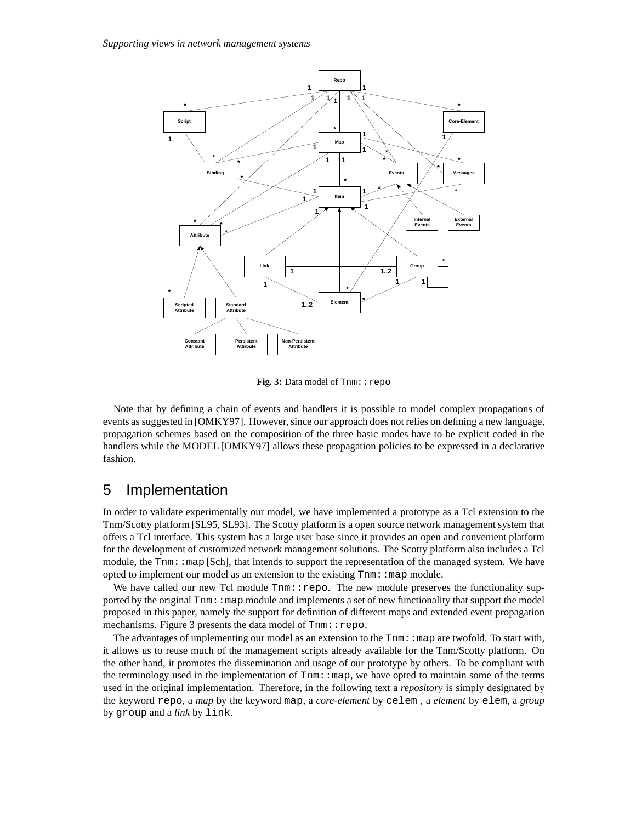

**Fig. 3:** Data model of Tnm::repo

Note that by defining a chain of events and handlers it is possible to model complex propagations of events as suggested in [OMKY97]. However, since our approach does not relies on defining a new language, propagation schemes based on the composition of the three basic modes have to be explicit coded in the handlers while the MODEL [OMKY97] allows these propagation policies to be expressed in a declarative fashion.

# 5 Implementation

In order to validate experimentally our model, we have implemented a prototype as a Tcl extension to the Tnm/Scotty platform [SL95, SL93]. The Scotty platform is a open source network management system that offers a Tcl interface. This system has a large user base since it provides an open and convenient platform for the development of customized network management solutions. The Scotty platform also includes a Tcl module, the  $\text{Trm}: \text{map } [\text{Sch}],$  that intends to support the representation of the managed system. We have opted to implement our model as an extension to the existing  $\text{Trm}$ :  $\text{Imap}$  module.

We have called our new Tcl module  $\text{Trm}:$  repo. The new module preserves the functionality supported by the original  $\text{Trm}$ :  $\text{map}$  module and implements a set of new functionality that support the model proposed in this paper, namely the support for definition of different maps and extended event propagation mechanisms. Figure 3 presents the data model of  $\text{Trm}:$  repo.

The advantages of implementing our model as an extension to the  $\text{Trm}: \text{map} \text{ are twofold}$ . To start with, it allows us to reuse much of the management scripts already available for the Tnm/Scotty platform. On the other hand, it promotes the dissemination and usage of our prototype by others. To be compliant with the terminology used in the implementation of  $Tnm$ :  $map$ , we have opted to maintain some of the terms used in the original implementation. Therefore, in the following text a *repository* is simply designated by the keyword repo, a *map* by the keyword map, a *core-element* by celem , a *element* by elem, a *group* by group and a *link* by link.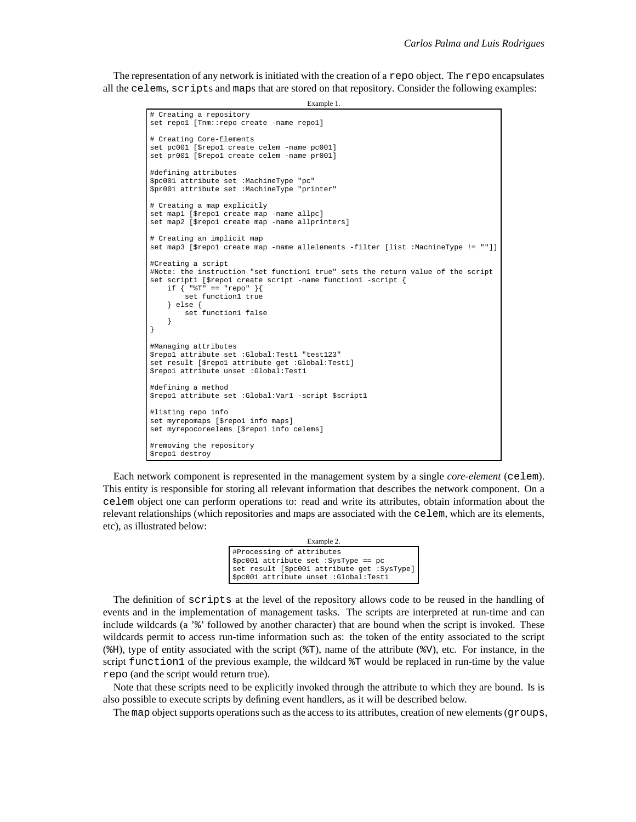The representation of any network is initiated with the creation of a repo object. The repo encapsulates all the celems, scripts and maps that are stored on that repository. Consider the following examples:

```
Example 1.
```

```
# Creating a repository
set repol [Tnm:: repo create -name repol]
# Creating Core-Elements
set pc001 [$repo1 create celem -name pc001]
set pr001 [$repo1 create celem -name pr001]
#defining attributes
$pc001 attribute set :MachineType "pc"
$pr001 attribute set :MachineType "printer"
# Creating a map explicitly
set map1 [$repo1 create map -name allpc]
set map2 [$repo1 create map -name allprinters]
# Creating an implicit map
set map3 [$repo1 create map -name allelements -filter [list :MachineType != ""]]
#Creating a script
#Note: the instruction "set function1 true" sets the return value of the script
set script1 [$repo1 create script -name function1 -script {
   if { "%T" == "repo" }{
       set function1 true
    } else {
        set function1 false
    }
}
#Managing attributes
$repo1 attribute set :Global:Test1 "test123"
set result [$repo1 attribute get :Global:Test1]
$repo1 attribute unset :Global:Test1
#defining a method
$repo1 attribute set :Global:Var1 -script $script1
#listing repo info
set myrepomaps [$repo1 info maps]
set myrepocoreelems [$repo1 info celems]
#removing the repository
$repo1 destroy
```
Each network component is represented in the management system by a single *core-element* (celem). This entity is responsible for storing all relevant information that describes the network component. On a celem object one can perform operations to: read and write its attributes, obtain information about the relevant relationships (which repositories and maps are associated with the celem, which are its elements, etc), as illustrated below:

| Example 2.                                  |
|---------------------------------------------|
| #Processing of attributes                   |
| \$pc001 attribute set : SysType == pc       |
| set result [\$pc001 attribute get :SysType] |
| \$pc001 attribute unset : Global: Test1     |

The definition of scripts at the level of the repository allows code to be reused in the handling of events and in the implementation of management tasks. The scripts are interpreted at run-time and can include wildcards (a '%' followed by another character) that are bound when the script is invoked. These wildcards permit to access run-time information such as: the token of the entity associated to the script (%H), type of entity associated with the script (%T), name of the attribute (%V), etc. For instance, in the script function1 of the previous example, the wildcard %T would be replaced in run-time by the value repo (and the script would return true).

Note that these scripts need to be explicitly invoked through the attribute to which they are bound. Is is also possible to execute scripts by defining event handlers, as it will be described below.

The map object supports operations such as the access to its attributes, creation of new elements (groups,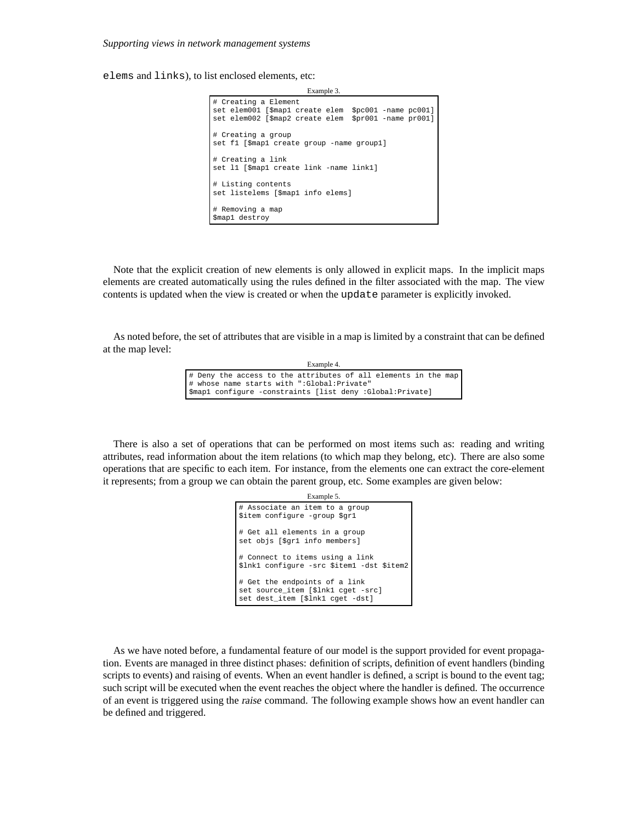elems and links), to list enclosed elements, etc:

| Example 3.                                                                                                                           |
|--------------------------------------------------------------------------------------------------------------------------------------|
| # Creating a Element<br>set elem001 [\$map1 create elem \$pc001 -name pc001]<br>set elem002 [\$map2 create elem \$pr001 -name pr001] |
| # Creating a group<br>set fl [\$mapl create group -name groupl]                                                                      |
| # Creating a link<br>set 11 [\$map1 create link -name link1]                                                                         |
| # Listing contents<br>set listelems [\$map1 info elems]                                                                              |
| # Removing a map<br>\$map1 destroy                                                                                                   |

Note that the explicit creation of new elements is only allowed in explicit maps. In the implicit maps elements are created automatically using the rules defined in the filter associated with the map. The view contents is updated when the view is created or when the update parameter is explicitly invoked.

As noted before, the set of attributes that are visible in a map is limited by a constraint that can be defined at the map level:

> Example 4. # Deny the access to the attributes of all elements in the map # whose name starts with ":Global:Private" \$map1 configure -constraints [list deny :Global:Private]

There is also a set of operations that can be performed on most items such as: reading and writing attributes, read information about the item relations (to which map they belong, etc). There are also some operations that are specific to each item. For instance, from the elements one can extract the core-element it represents; from a group we can obtain the parent group, etc. Some examples are given below:

```
Example 5
# Associate an item to a group
$item configure -group $gr1
# Get all elements in a group
set objs [$gr1 info members]
# Connect to items using a link
$lnk1 configure -src $item1 -dst $item2
# Get the endpoints of a link
set source item [$lnk1 cget -src]
set dest_item [$lnk1 cget -dst]
```
As we have noted before, a fundamental feature of our model is the support provided for event propagation. Events are managed in three distinct phases: definition of scripts, definition of event handlers (binding scripts to events) and raising of events. When an event handler is defined, a script is bound to the event tag; such script will be executed when the event reaches the object where the handler is defined. The occurrence of an event is triggered using the raise command. The following example shows how an event handler can be defined and triggered.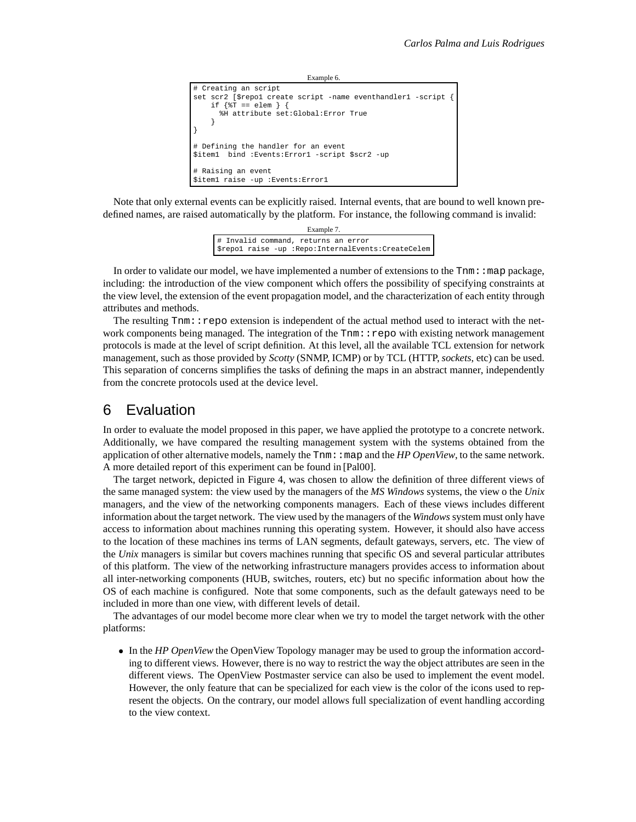```
Example 6
```

```
# Creating an script
set scr2 [$repol create script -name eventhandler1 -script
    if \{T = elem \} {
      %H attribute set:Global:Error True
    }
}
# Defining the handler for an event
$item1 bind :Events:Error1 -script $scr2 -up
# Raising an event
$item1 raise -up :Events:Error1
```
Note that only external events can be explicitly raised. Internal events, that are bound to well known predefined names, are raised automatically by the platform. For instance, the following command is invalid:



In order to validate our model, we have implemented a number of extensions to the  $\text{Trm}: \text{map package}$ , including: the introduction of the view component which offers the possibility of specifying constraints at the view level, the extension of the event propagation model, and the characterization of each entity through attributes and methods.

The resulting  $\text{Trm}:$  repo extension is independent of the actual method used to interact with the network components being managed. The integration of the  $\text{Trm}$ : repo with existing network management protocols is made at the level of script definition. At this level, all the available TCL extension for network management, such as those provided by *Scotty* (SNMP, ICMP) or by TCL (HTTP, *sockets*, etc) can be used. This separation of concerns simplifies the tasks of defining the maps in an abstract manner, independently from the concrete protocols used at the device level.

## 6 Evaluation

In order to evaluate the model proposed in this paper, we have applied the prototype to a concrete network. Additionally, we have compared the resulting management system with the systems obtained from the application of other alternative models, namely the Tnm::map and the *HP OpenView*, to the same network. A more detailed report of this experiment can be found in [Pal00].

The target network, depicted in Figure 4, was chosen to allow the definition of three different views of the same managed system: the view used by the managers of the *MS Windows* systems, the view o the *Unix* managers, and the view of the networking components managers. Each of these views includes different information about the target network. The view used by the managers of the *Windows* system must only have access to information about machines running this operating system. However, it should also have access to the location of these machines ins terms of LAN segments, default gateways, servers, etc. The view of the *Unix* managers is similar but covers machines running that specific OS and several particular attributes of this platform. The view of the networking infrastructure managers provides access to information about all inter-networking components (HUB, switches, routers, etc) but no specific information about how the OS of each machine is configured. Note that some components, such as the default gateways need to be included in more than one view, with different levels of detail.

The advantages of our model become more clear when we try to model the target network with the other platforms:

 In the *HP OpenView* the OpenView Topology manager may be used to group the information according to different views. However, there is no way to restrict the way the object attributes are seen in the different views. The OpenView Postmaster service can also be used to implement the event model. However, the only feature that can be specialized for each view is the color of the icons used to represent the objects. On the contrary, our model allows full specialization of event handling according to the view context.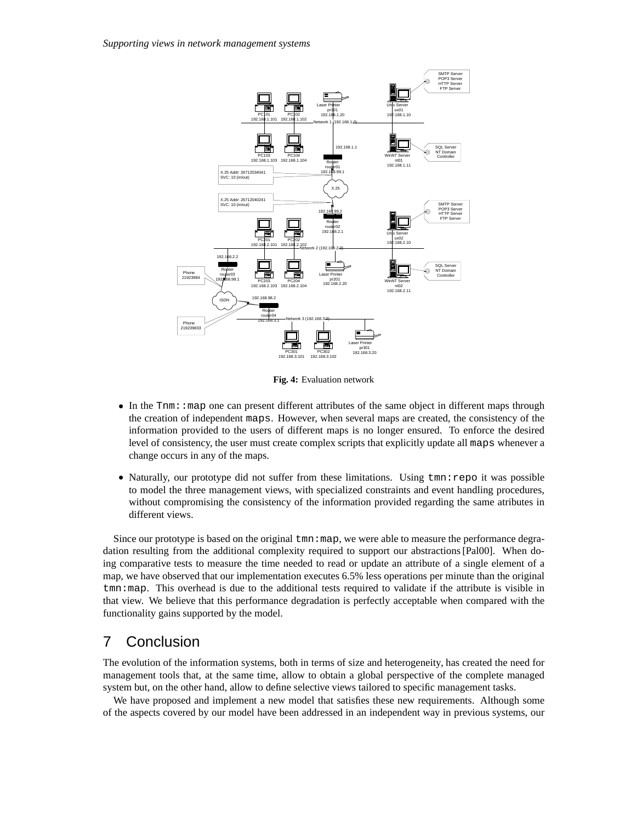*Supporting views in network management systems*



**Fig. 4:** Evaluation network

- In the Tnm: : map one can present different attributes of the same object in different maps through the creation of independent maps. However, when several maps are created, the consistency of the information provided to the users of different maps is no longer ensured. To enforce the desired level of consistency, the user must create complex scripts that explicitly update all maps whenever a change occurs in any of the maps.
- Naturally, our prototype did not suffer from these limitations. Using tmn:repo it was possible to model the three management views, with specialized constraints and event handling procedures, without compromising the consistency of the information provided regarding the same atributes in different views.

Since our prototype is based on the original  $\tan:map$ , we were able to measure the performance degradation resulting from the additional complexity required to support our abstractions[Pal00]. When doing comparative tests to measure the time needed to read or update an attribute of a single element of a map, we have observed that our implementation executes 6.5% less operations per minute than the original tmn:map. This overhead is due to the additional tests required to validate if the attribute is visible in that view. We believe that this performance degradation is perfectly acceptable when compared with the functionality gains supported by the model.

# 7 Conclusion

The evolution of the information systems, both in terms of size and heterogeneity, has created the need for management tools that, at the same time, allow to obtain a global perspective of the complete managed system but, on the other hand, allow to define selective views tailored to specific management tasks.

We have proposed and implement a new model that satisfies these new requirements. Although some of the aspects covered by our model have been addressed in an independent way in previous systems, our